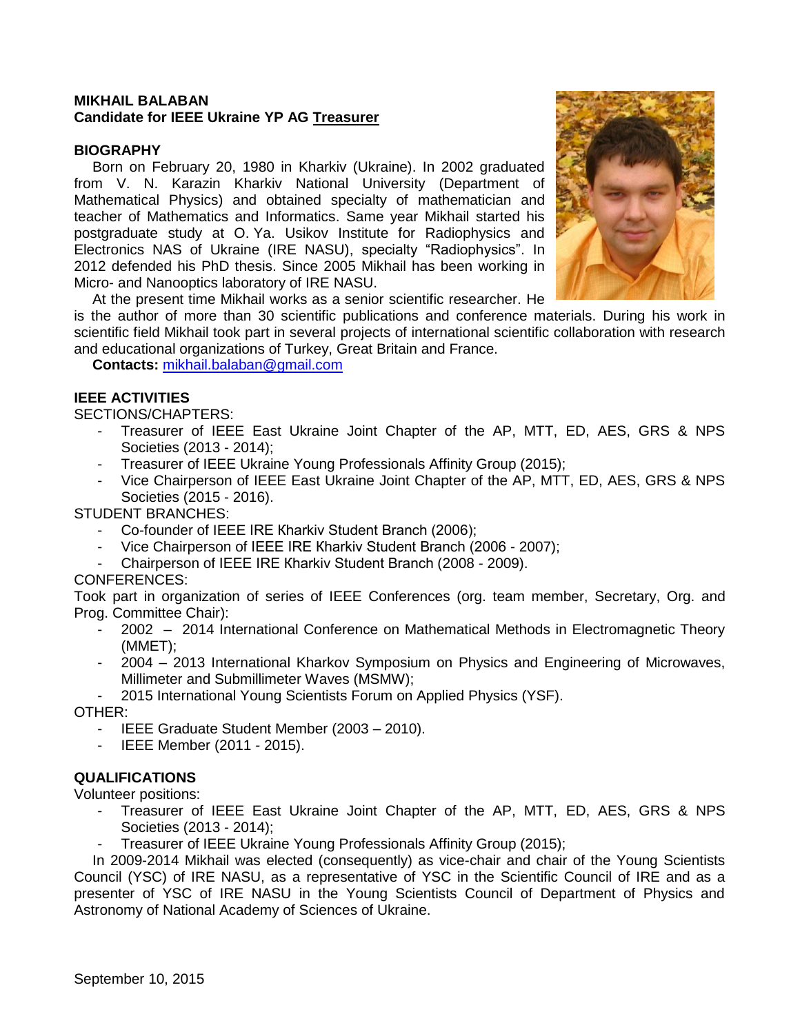### **MIKHAIL BALABAN Candidate for IEEE Ukraine YP AG Treasurer**

#### **BIOGRAPHY**

Born on February 20, 1980 in Kharkiv (Ukraine). In 2002 graduated from V. N. Karazin Kharkiv National University (Department of Mathematical Physics) and obtained specialty of mathematician and teacher of Mathematics and Informatics. Same year Mikhail started his postgraduate study at O. Ya. Usikov Institute for Radiophysics and Electronics NAS of Ukraine (IRE NASU), specialty "Radiophysics". In 2012 defended his PhD thesis. Since 2005 Mikhail has been working in Micro- and Nanooptics laboratory of IRE NASU.



At the present time Mikhail works as a senior scientific researcher. He

is the author of more than 30 scientific publications and conference materials. During his work in scientific field Mikhail took part in several projects of international scientific collaboration with research and educational organizations of Turkey, Great Britain and France.

**Contacts:** [mikhail.balaban@gmail.com](mailto:mikhail.balaban@gmail.com)

## **IEEE ACTIVITIES**

SECTIONS/CHAPTERS:

- Treasurer of IEEE East Ukraine Joint Chapter of the AP, MTT, ED, AES, GRS & NPS Societies (2013 - 2014);
- Treasurer of IEEE Ukraine Young Professionals Affinity Group (2015);
- Vice Chairperson of IEEE East Ukraine Joint Chapter of the AP, MTT, ED, AES, GRS & NPS Societies (2015 - 2016).

#### STUDENT BRANCHES:

- Co-founder of IEEE IRE Kharkiv Student Branch (2006);
- Vice Chairperson of IEEE IRE Kharkiv Student Branch (2006 2007);
- Chairperson of IEEE IRE Кharkiv Student Branch (2008 2009).

### CONFERENCES:

Took part in organization of series of IEEE Conferences (org. team member, Secretary, Org. and Prog. Committee Chair):

- 2002 2014 International Conference on Mathematical Methods in Electromagnetic Theory (MMET);
- 2004 2013 International Kharkov Symposium on Physics and Engineering of Microwaves, Millimeter and Submillimeter Waves (MSMW);
- 2015 International Young Scientists Forum on Applied Physics (YSF).

#### OTHER:

- IEEE Graduate Student Member (2003 2010).
- IEEE Member (2011 2015).

### **QUALIFICATIONS**

Volunteer positions:

- Treasurer of IEEE East Ukraine Joint Chapter of the AP, MTT, ED, AES, GRS & NPS Societies (2013 - 2014);
- Treasurer of IEEE Ukraine Young Professionals Affinity Group (2015);

In 2009-2014 Mikhail was elected (consequently) as vice-chair and chair of the Young Scientists Council (YSC) of IRE NASU, as a representative of YSC in the Scientific Council of IRE and as a presenter of YSC of IRE NASU in the Young Scientists Council of Department of Physics and Astronomy of National Academy of Sciences of Ukraine.